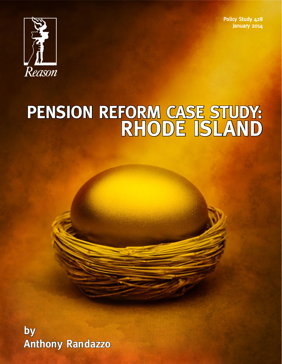Policy Study 428 January 2014



# **PENSION REFORM CASE STUDY: RHODE ISLAND**

**by Anthony Randazzo**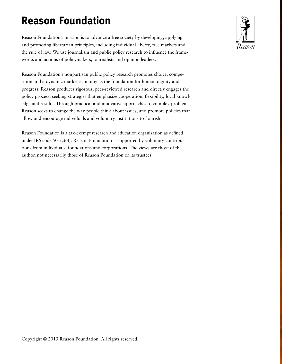## **Reason Foundation**

Reason Foundation's mission is to advance a free society by developing, applying and promoting libertarian principles, including individual liberty, free markets and the rule of law. We use journalism and public policy research to influence the frameworks and actions of policymakers, journalists and opinion leaders.

Reason Foundation's nonpartisan public policy research promotes choice, competition and a dynamic market economy as the foundation for human dignity and progress. Reason produces rigorous, peer-reviewed research and directly engages the policy process, seeking strategies that emphasize cooperation, flexibility, local knowledge and results. Through practical and innovative approaches to complex problems, Reason seeks to change the way people think about issues, and promote policies that allow and encourage individuals and voluntary institutions to flourish.

Reason Foundation is a tax-exempt research and education organization as defined under IRS code  $501(c)(3)$ . Reason Foundation is supported by voluntary contributions from individuals, foundations and corporations. The views are those of the author, not necessarily those of Reason Foundation or its trustees.

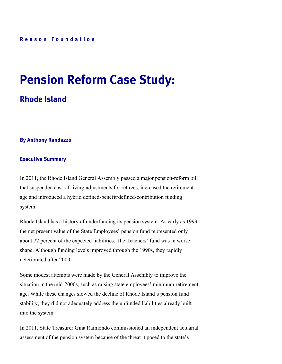## **Pension Reform Case Study:**

## **Rhode Island**

#### **By Anthony Randazzo**

#### **Executive Summary**

In 2011, the Rhode Island General Assembly passed a major pension-reform bill that suspended cost-of-living-adjustments for retirees, increased the retirement age and introduced a hybrid defined-benefit/defined-contribution funding system.

Rhode Island has a history of underfunding its pension system. As early as 1993, the net present value of the State Employees' pension fund represented only about 72 percent of the expected liabilities. The Teachers' fund was in worse shape. Although funding levels improved through the 1990s, they rapidly deteriorated after 2000.

Some modest attempts were made by the General Assembly to improve the situation in the mid-2000s, such as raising state employees' minimum retirement age. While these changes slowed the decline of Rhode Island's pension fund stability, they did not adequately address the unfunded liabilities already built into the system.

In 2011, State Treasurer Gina Raimondo commissioned an independent actuarial assessment of the pension system because of the threat it posed to the state's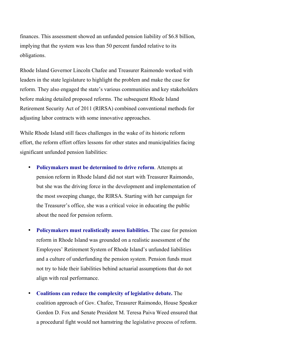finances. This assessment showed an unfunded pension liability of \$6.8 billion, implying that the system was less than 50 percent funded relative to its obligations.

Rhode Island Governor Lincoln Chafee and Treasurer Raimondo worked with leaders in the state legislature to highlight the problem and make the case for reform. They also engaged the state's various communities and key stakeholders before making detailed proposed reforms. The subsequent Rhode Island Retirement Security Act of 2011 (RIRSA) combined conventional methods for adjusting labor contracts with some innovative approaches.

While Rhode Island still faces challenges in the wake of its historic reform effort, the reform effort offers lessons for other states and municipalities facing significant unfunded pension liabilities:

- **Policymakers must be determined to drive reform**. Attempts at pension reform in Rhode Island did not start with Treasurer Raimondo, but she was the driving force in the development and implementation of the most sweeping change, the RIRSA. Starting with her campaign for the Treasurer's office, she was a critical voice in educating the public about the need for pension reform.
- **Policymakers must realistically assess liabilities.** The case for pension reform in Rhode Island was grounded on a realistic assessment of the Employees' Retirement System of Rhode Island's unfunded liabilities and a culture of underfunding the pension system. Pension funds must not try to hide their liabilities behind actuarial assumptions that do not align with real performance.
- **Coalitions can reduce the complexity of legislative debate.** The coalition approach of Gov. Chafee, Treasurer Raimondo, House Speaker Gordon D. Fox and Senate President M. Teresa Paiva Weed ensured that a procedural fight would not hamstring the legislative process of reform.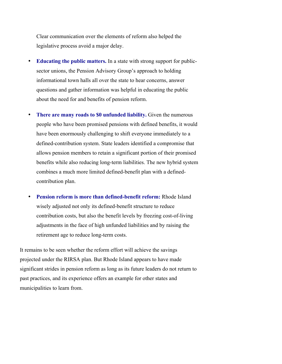Clear communication over the elements of reform also helped the legislative process avoid a major delay.

- **Educating the public matters.** In a state with strong support for publicsector unions, the Pension Advisory Group's approach to holding informational town halls all over the state to hear concerns, answer questions and gather information was helpful in educating the public about the need for and benefits of pension reform.
- **There are many roads to \$0 unfunded liability.** Given the numerous people who have been promised pensions with defined benefits, it would have been enormously challenging to shift everyone immediately to a defined-contribution system. State leaders identified a compromise that allows pension members to retain a significant portion of their promised benefits while also reducing long-term liabilities. The new hybrid system combines a much more limited defined-benefit plan with a definedcontribution plan.
- **Pension reform is more than defined-benefit reform:** Rhode Island wisely adjusted not only its defined-benefit structure to reduce contribution costs, but also the benefit levels by freezing cost-of-living adjustments in the face of high unfunded liabilities and by raising the retirement age to reduce long-term costs.

It remains to be seen whether the reform effort will achieve the savings projected under the RIRSA plan. But Rhode Island appears to have made significant strides in pension reform as long as its future leaders do not return to past practices, and its experience offers an example for other states and municipalities to learn from.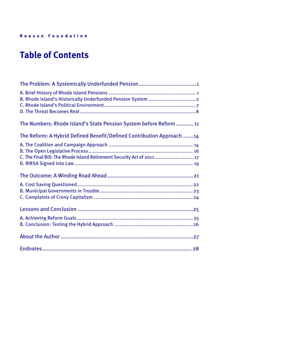## **Table of Contents**

| The Numbers: Rhode Island's State Pension System before Reform  11   |
|----------------------------------------------------------------------|
| The Reform: A Hybrid Defined Benefit/Defined Contribution Approach14 |
|                                                                      |
| C. The Final Bill: The Rhode Island Retirement Security Act of 2011  |
|                                                                      |
|                                                                      |
|                                                                      |
|                                                                      |
|                                                                      |
|                                                                      |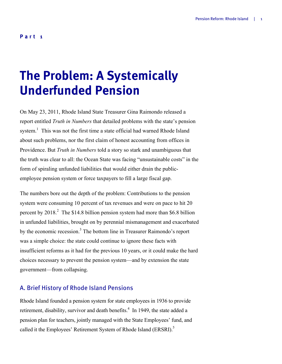### **Part 1**

## **The Problem: A Systemically Underfunded Pension**

On May 23, 2011, Rhode Island State Treasurer Gina Raimondo released a report entitled *Truth in Numbers* that detailed problems with the state's pension system.<sup>1</sup> This was not the first time a state official had warned Rhode Island about such problems, nor the first claim of honest accounting from offices in Providence. But *Truth in Numbers* told a story so stark and unambiguous that the truth was clear to all: the Ocean State was facing "unsustainable costs" in the form of spiraling unfunded liabilities that would either drain the publicemployee pension system or force taxpayers to fill a large fiscal gap.

The numbers bore out the depth of the problem: Contributions to the pension system were consuming 10 percent of tax revenues and were on pace to hit 20 percent by  $2018<sup>2</sup>$ . The \$14.8 billion pension system had more than \$6.8 billion in unfunded liabilities, brought on by perennial mismanagement and exacerbated by the economic recession.3 The bottom line in Treasurer Raimondo's report was a simple choice: the state could continue to ignore these facts with insufficient reforms as it had for the previous 10 years, or it could make the hard choices necessary to prevent the pension system—and by extension the state government—from collapsing.

### A. Brief History of Rhode Island Pensions

Rhode Island founded a pension system for state employees in 1936 to provide retirement, disability, survivor and death benefits.<sup>4</sup> In 1949, the state added a pension plan for teachers, jointly managed with the State Employees' fund, and called it the Employees' Retirement System of Rhode Island (ERSRI).<sup>5</sup>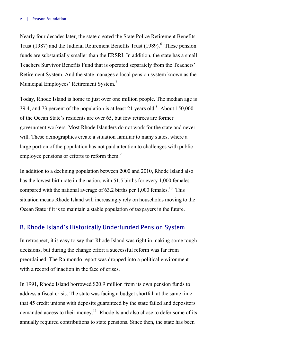Nearly four decades later, the state created the State Police Retirement Benefits Trust (1987) and the Judicial Retirement Benefits Trust (1989).  $6$  These pension funds are substantially smaller than the ERSRI. In addition, the state has a small Teachers Survivor Benefits Fund that is operated separately from the Teachers' Retirement System. And the state manages a local pension system known as the Municipal Employees' Retirement System.<sup>7</sup>

Today, Rhode Island is home to just over one million people. The median age is 39.4, and 73 percent of the population is at least 21 years old. $8$  About 150,000 of the Ocean State's residents are over 65, but few retirees are former government workers. Most Rhode Islanders do not work for the state and never will. These demographics create a situation familiar to many states, where a large portion of the population has not paid attention to challenges with publicemployee pensions or efforts to reform them.<sup>9</sup>

In addition to a declining population between 2000 and 2010, Rhode Island also has the lowest birth rate in the nation, with 51.5 births for every 1,000 females compared with the national average of 63.2 births per  $1.000$  females.<sup>10</sup> This situation means Rhode Island will increasingly rely on households moving to the Ocean State if it is to maintain a stable population of taxpayers in the future.

## B. Rhode Island's Historically Underfunded Pension System

In retrospect, it is easy to say that Rhode Island was right in making some tough decisions, but during the change effort a successful reform was far from preordained. The Raimondo report was dropped into a political environment with a record of inaction in the face of crises.

In 1991, Rhode Island borrowed \$20.9 million from its own pension funds to address a fiscal crisis. The state was facing a budget shortfall at the same time that 45 credit unions with deposits guaranteed by the state failed and depositors demanded access to their money.<sup>11</sup> Rhode Island also chose to defer some of its annually required contributions to state pensions. Since then, the state has been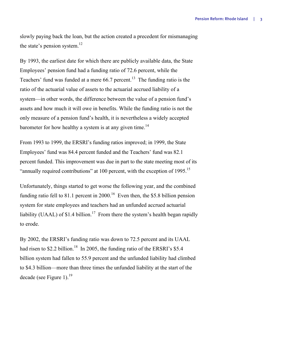slowly paying back the loan, but the action created a precedent for mismanaging the state's pension system.<sup>12</sup>

By 1993, the earliest date for which there are publicly available data, the State Employees' pension fund had a funding ratio of 72.6 percent, while the Teachers' fund was funded at a mere  $66.7$  percent.<sup>13</sup> The funding ratio is the ratio of the actuarial value of assets to the actuarial accrued liability of a system—in other words, the difference between the value of a pension fund's assets and how much it will owe in benefits. While the funding ratio is not the only measure of a pension fund's health, it is nevertheless a widely accepted barometer for how healthy a system is at any given time.<sup>14</sup>

From 1993 to 1999, the ERSRI's funding ratios improved; in 1999, the State Employees' fund was 84.4 percent funded and the Teachers' fund was 82.1 percent funded. This improvement was due in part to the state meeting most of its "annually required contributions" at 100 percent, with the exception of 1995.<sup>15</sup>

Unfortunately, things started to get worse the following year, and the combined funding ratio fell to 81.1 percent in 2000.<sup>16</sup> Even then, the \$5.8 billion pension system for state employees and teachers had an unfunded accrued actuarial liability (UAAL) of \$1.4 billion.<sup>17</sup> From there the system's health began rapidly to erode.

By 2002, the ERSRI's funding ratio was down to 72.5 percent and its UAAL had risen to \$2.2 billion.<sup>18</sup> In 2005, the funding ratio of the ERSRI's \$5.4 billion system had fallen to 55.9 percent and the unfunded liability had climbed to \$4.3 billion—more than three times the unfunded liability at the start of the decade (see Figure 1). $^{19}$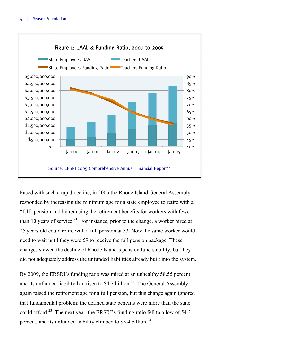

Faced with such a rapid decline, in 2005 the Rhode Island General Assembly responded by increasing the minimum age for a state employee to retire with a "full" pension and by reducing the retirement benefits for workers with fewer than 10 years of service.<sup>21</sup> For instance, prior to the change, a worker hired at 25 years old could retire with a full pension at 53. Now the same worker would need to wait until they were 59 to receive the full pension package. These changes slowed the decline of Rhode Island's pension fund stability, but they did not adequately address the unfunded liabilities already built into the system.

By 2009, the ERSRI's funding ratio was mired at an unhealthy 58.55 percent and its unfunded liability had risen to \$4.7 billion.<sup>22</sup> The General Assembly again raised the retirement age for a full pension, but this change again ignored that fundamental problem: the defined state benefits were more than the state could afford.<sup>23</sup> The next year, the ERSRI's funding ratio fell to a low of 54.3 percent, and its unfunded liability climbed to \$5.4 billion.<sup>24</sup>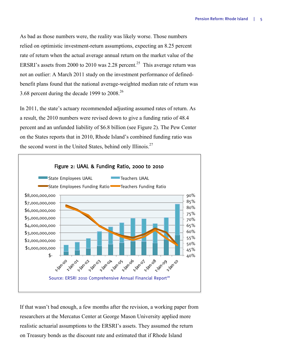As bad as those numbers were, the reality was likely worse. Those numbers relied on optimistic investment-return assumptions, expecting an 8.25 percent rate of return when the actual average annual return on the market value of the ERSRI's assets from 2000 to 2010 was 2.28 percent.<sup>25</sup> This average return was not an outlier: A March 2011 study on the investment performance of definedbenefit plans found that the national average-weighted median rate of return was 3.68 percent during the decade 1999 to 2008.<sup>26</sup>

In 2011, the state's actuary recommended adjusting assumed rates of return. As a result, the 2010 numbers were revised down to give a funding ratio of 48.4 percent and an unfunded liability of \$6.8 billion (see Figure 2). The Pew Center on the States reports that in 2010, Rhode Island's combined funding ratio was the second worst in the United States, behind only Illinois.<sup>27</sup>



If that wasn't bad enough, a few months after the revision, a working paper from researchers at the Mercatus Center at George Mason University applied more realistic actuarial assumptions to the ERSRI's assets. They assumed the return on Treasury bonds as the discount rate and estimated that if Rhode Island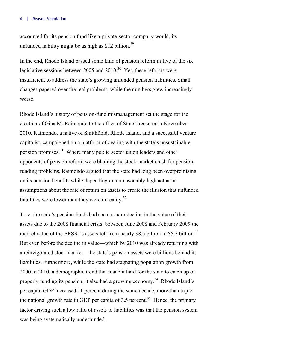#### 6 | Reason Foundation

accounted for its pension fund like a private-sector company would, its unfunded liability might be as high as  $$12$  billion.<sup>29</sup>

In the end, Rhode Island passed some kind of pension reform in five of the six legislative sessions between 2005 and 2010.<sup>30</sup> Yet, these reforms were insufficient to address the state's growing unfunded pension liabilities. Small changes papered over the real problems, while the numbers grew increasingly worse.

Rhode Island's history of pension-fund mismanagement set the stage for the election of Gina M. Raimondo to the office of State Treasurer in November 2010. Raimondo, a native of Smithfield, Rhode Island, and a successful venture capitalist, campaigned on a platform of dealing with the state's unsustainable pension promises.<sup>31</sup> Where many public sector union leaders and other opponents of pension reform were blaming the stock-market crash for pensionfunding problems, Raimondo argued that the state had long been overpromising on its pension benefits while depending on unreasonably high actuarial assumptions about the rate of return on assets to create the illusion that unfunded liabilities were lower than they were in reality. $32$ 

True, the state's pension funds had seen a sharp decline in the value of their assets due to the 2008 financial crisis: between June 2008 and February 2009 the market value of the ERSRI's assets fell from nearly \$8.5 billion to \$5.5 billion.<sup>33</sup> But even before the decline in value—which by 2010 was already returning with a reinvigorated stock market—the state's pension assets were billions behind its liabilities. Furthermore, while the state had stagnating population growth from 2000 to 2010, a demographic trend that made it hard for the state to catch up on properly funding its pension, it also had a growing economy.<sup>34</sup> Rhode Island's per capita GDP increased 11 percent during the same decade, more than triple the national growth rate in GDP per capita of 3.5 percent.<sup>35</sup> Hence, the primary factor driving such a low ratio of assets to liabilities was that the pension system was being systematically underfunded.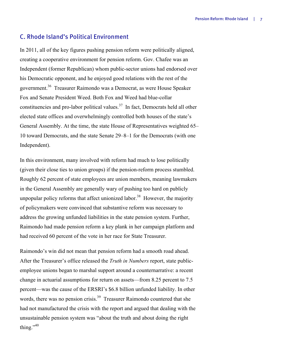### C. Rhode Island's Political Environment

In 2011, all of the key figures pushing pension reform were politically aligned, creating a cooperative environment for pension reform. Gov. Chafee was an Independent (former Republican) whom public-sector unions had endorsed over his Democratic opponent, and he enjoyed good relations with the rest of the government.36 Treasurer Raimondo was a Democrat, as were House Speaker Fox and Senate President Weed. Both Fox and Weed had blue-collar constituencies and pro-labor political values.<sup>37</sup> In fact, Democrats held all other elected state offices and overwhelmingly controlled both houses of the state's General Assembly. At the time, the state House of Representatives weighted 65– 10 toward Democrats, and the state Senate 29–8–1 for the Democrats (with one Independent).

In this environment, many involved with reform had much to lose politically (given their close ties to union groups) if the pension-reform process stumbled. Roughly 62 percent of state employees are union members, meaning lawmakers in the General Assembly are generally wary of pushing too hard on publicly unpopular policy reforms that affect unionized labor.<sup>38</sup> However, the majority of policymakers were convinced that substantive reform was necessary to address the growing unfunded liabilities in the state pension system. Further, Raimondo had made pension reform a key plank in her campaign platform and had received 60 percent of the vote in her race for State Treasurer.

Raimondo's win did not mean that pension reform had a smooth road ahead. After the Treasurer's office released the *Truth in Numbers* report, state publicemployee unions began to marshal support around a counternarrative: a recent change in actuarial assumptions for return on assets—from 8.25 percent to 7.5 percent—was the cause of the ERSRI's \$6.8 billion unfunded liability. In other words, there was no pension crisis.<sup>39</sup> Treasurer Raimondo countered that she had not manufactured the crisis with the report and argued that dealing with the unsustainable pension system was "about the truth and about doing the right thing." $40$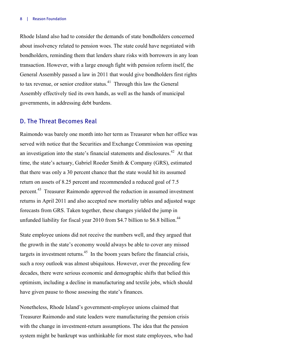Rhode Island also had to consider the demands of state bondholders concerned about insolvency related to pension woes. The state could have negotiated with bondholders, reminding them that lenders share risks with borrowers in any loan transaction. However, with a large enough fight with pension reform itself, the General Assembly passed a law in 2011 that would give bondholders first rights to tax revenue, or senior creditor status. $41$  Through this law the General Assembly effectively tied its own hands, as well as the hands of municipal governments, in addressing debt burdens.

### D. The Threat Becomes Real

Raimondo was barely one month into her term as Treasurer when her office was served with notice that the Securities and Exchange Commission was opening an investigation into the state's financial statements and disclosures.<sup>42</sup> At that time, the state's actuary, Gabriel Roeder Smith & Company (GRS), estimated that there was only a 30 percent chance that the state would hit its assumed return on assets of 8.25 percent and recommended a reduced goal of 7.5 percent.<sup>43</sup> Treasurer Raimondo approved the reduction in assumed investment returns in April 2011 and also accepted new mortality tables and adjusted wage forecasts from GRS. Taken together, these changes yielded the jump in unfunded liability for fiscal year 2010 from \$4.7 billion to \$6.8 billion.<sup>44</sup>

State employee unions did not receive the numbers well, and they argued that the growth in the state's economy would always be able to cover any missed targets in investment returns.<sup>45</sup> In the boom years before the financial crisis, such a rosy outlook was almost ubiquitous. However, over the preceding few decades, there were serious economic and demographic shifts that belied this optimism, including a decline in manufacturing and textile jobs, which should have given pause to those assessing the state's finances.

Nonetheless, Rhode Island's government-employee unions claimed that Treasurer Raimondo and state leaders were manufacturing the pension crisis with the change in investment-return assumptions. The idea that the pension system might be bankrupt was unthinkable for most state employees, who had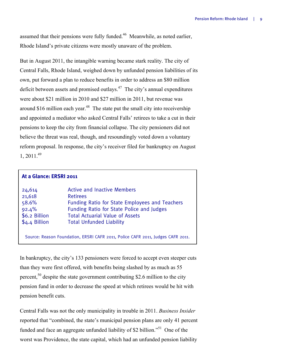assumed that their pensions were fully funded.46 Meanwhile, as noted earlier, Rhode Island's private citizens were mostly unaware of the problem.

But in August 2011, the intangible warning became stark reality. The city of Central Falls, Rhode Island, weighed down by unfunded pension liabilities of its own, put forward a plan to reduce benefits in order to address an \$80 million deficit between assets and promised outlays.<sup>47</sup> The city's annual expenditures were about \$21 million in 2010 and \$27 million in 2011, but revenue was around \$16 million each year. $48$  The state put the small city into receivership and appointed a mediator who asked Central Falls' retirees to take a cut in their pensions to keep the city from financial collapse. The city pensioners did not believe the threat was real, though, and resoundingly voted down a voluntary reform proposal. In response, the city's receiver filed for bankruptcy on August  $1, 2011.<sup>49</sup>$ 

| At a Glance: ERSRI 2011                                                         |                                                                                                                                                                                                                                                 |  |  |  |  |
|---------------------------------------------------------------------------------|-------------------------------------------------------------------------------------------------------------------------------------------------------------------------------------------------------------------------------------------------|--|--|--|--|
| 24,614<br>21,618<br>58.6%<br>92.4%<br>\$6.2 Billion<br>\$4.4 Billion            | <b>Active and Inactive Members</b><br><b>Retirees</b><br><b>Funding Ratio for State Employees and Teachers</b><br><b>Funding Ratio for State Police and Judges</b><br><b>Total Actuarial Value of Assets</b><br><b>Total Unfunded Liability</b> |  |  |  |  |
| Source: Reason Foundation, ERSRI CAFR 2011, Police CAFR 2011, Judges CAFR 2011. |                                                                                                                                                                                                                                                 |  |  |  |  |

In bankruptcy, the city's 133 pensioners were forced to accept even steeper cuts than they were first offered, with benefits being slashed by as much as 55 percent,  $50$  despite the state government contributing \$2.6 million to the city pension fund in order to decrease the speed at which retirees would be hit with pension benefit cuts.

Central Falls was not the only municipality in trouble in 2011. *Business Insider* reported that "combined, the state's municipal pension plans are only 41 percent funded and face an aggregate unfunded liability of \$2 billion.<sup>551</sup> One of the worst was Providence, the state capital, which had an unfunded pension liability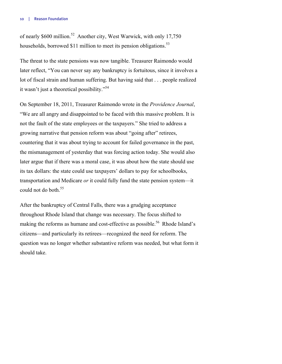of nearly \$600 million.<sup>52</sup> Another city, West Warwick, with only 17,750 households, borrowed \$11 million to meet its pension obligations.<sup>53</sup>

The threat to the state pensions was now tangible. Treasurer Raimondo would later reflect, "You can never say any bankruptcy is fortuitous, since it involves a lot of fiscal strain and human suffering. But having said that . . . people realized it wasn't just a theoretical possibility."54

On September 18, 2011, Treasurer Raimondo wrote in the *Providence Journal*, "We are all angry and disappointed to be faced with this massive problem. It is not the fault of the state employees or the taxpayers." She tried to address a growing narrative that pension reform was about "going after" retirees, countering that it was about trying to account for failed governance in the past, the mismanagement of yesterday that was forcing action today. She would also later argue that if there was a moral case, it was about how the state should use its tax dollars: the state could use taxpayers' dollars to pay for schoolbooks, transportation and Medicare *or* it could fully fund the state pension system—it could not do both.<sup>55</sup>

After the bankruptcy of Central Falls, there was a grudging acceptance throughout Rhode Island that change was necessary. The focus shifted to making the reforms as humane and cost-effective as possible.<sup>56</sup> Rhode Island's citizens—and particularly its retirees—recognized the need for reform. The question was no longer whether substantive reform was needed, but what form it should take.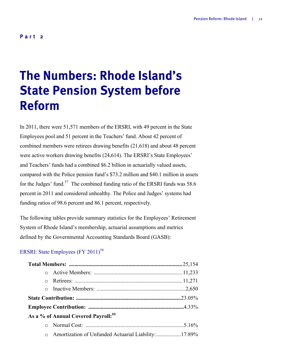## **The Numbers: Rhode Island's State Pension System before Reform**

In 2011, there were 51,571 members of the ERSRI, with 49 percent in the State Employees pool and 51 percent in the Teachers' fund. About 42 percent of combined members were retirees drawing benefits (21,618) and about 48 percent were active workers drawing benefits (24,614). The ERSRI's State Employees' and Teachers' funds had a combined \$6.2 billion in actuarially valued assets, compared with the Police pension fund's \$73.2 million and \$40.1 million in assets for the Judges' fund.<sup>57</sup> The combined funding ratio of the ERSRI funds was 58.6 percent in 2011 and considered unhealthy. The Police and Judges' systems had funding ratios of 98.6 percent and 86.1 percent, respectively.

The following tables provide summary statistics for the Employees' Retirement System of Rhode Island's membership, actuarial assumptions and metrics defined by the Governmental Accounting Standards Board (GASB):

## ERSRI: State Employees (FY 2011)<sup>58</sup>

|         | As a % of Annual Covered Payroll: <sup>59</sup>     |  |
|---------|-----------------------------------------------------|--|
|         |                                                     |  |
| $\circ$ | Amortization of Unfunded Actuarial Liability:17.89% |  |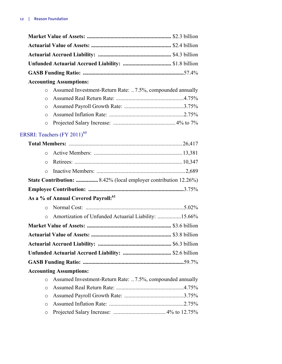|          | Unfunded Actuarial Accrued Liability:  \$1.8 billion                   |  |
|----------|------------------------------------------------------------------------|--|
|          |                                                                        |  |
|          | <b>Accounting Assumptions:</b>                                         |  |
| $\circ$  | Assumed Investment-Return Rate: 7.5%, compounded annually              |  |
| O        |                                                                        |  |
| O        |                                                                        |  |
| $\circ$  |                                                                        |  |
| $\circ$  |                                                                        |  |
|          | ERSRI: Teachers $(FY 2011)^{60}$                                       |  |
|          |                                                                        |  |
| $\circ$  |                                                                        |  |
| $\Omega$ |                                                                        |  |
| $\circ$  |                                                                        |  |
|          | <b>State Contribution: </b> 8.42% (local employer contribution 12.26%) |  |
|          |                                                                        |  |
|          | As a % of Annual Covered Payroll: <sup>61</sup>                        |  |
|          |                                                                        |  |
| $\circ$  | Amortization of Unfunded Actuarial Liability: 15.66%                   |  |
|          |                                                                        |  |
|          |                                                                        |  |
|          |                                                                        |  |
|          | Unfunded Actuarial Accrued Liability:  \$2.6 billion                   |  |
|          |                                                                        |  |
|          | <b>Accounting Assumptions:</b>                                         |  |
| $\circ$  | Assumed Investment-Return Rate: 7.5%, compounded annually              |  |
| $\circ$  |                                                                        |  |
| O        |                                                                        |  |
| O        |                                                                        |  |
| O        |                                                                        |  |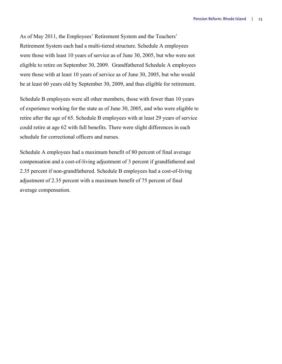As of May 2011, the Employees' Retirement System and the Teachers' Retirement System each had a multi-tiered structure. Schedule A employees were those with least 10 years of service as of June 30, 2005, but who were not eligible to retire on September 30, 2009. Grandfathered Schedule A employees were those with at least 10 years of service as of June 30, 2005, but who would be at least 60 years old by September 30, 2009, and thus eligible for retirement.

Schedule B employees were all other members, those with fewer than 10 years of experience working for the state as of June 30, 2005, and who were eligible to retire after the age of 65. Schedule B employees with at least 29 years of service could retire at age 62 with full benefits. There were slight differences in each schedule for correctional officers and nurses.

Schedule A employees had a maximum benefit of 80 percent of final average compensation and a cost-of-living adjustment of 3 percent if grandfathered and 2.35 percent if non-grandfathered. Schedule B employees had a cost-of-living adjustment of 2.35 percent with a maximum benefit of 75 percent of final average compensation.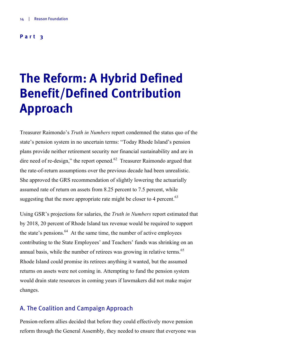### **Part 3**

## **The Reform: A Hybrid Defined Benefit/Defined Contribution Approach**

Treasurer Raimondo's *Truth in Numbers* report condemned the status quo of the state's pension system in no uncertain terms: "Today Rhode Island's pension plans provide neither retirement security nor financial sustainability and are in dire need of re-design," the report opened. $62$  Treasurer Raimondo argued that the rate-of-return assumptions over the previous decade had been unrealistic. She approved the GRS recommendation of slightly lowering the actuarially assumed rate of return on assets from 8.25 percent to 7.5 percent, while suggesting that the more appropriate rate might be closer to 4 percent.  $63$ 

Using GSR's projections for salaries, the *Truth in Numbers* report estimated that by 2018, 20 percent of Rhode Island tax revenue would be required to support the state's pensions.<sup>64</sup> At the same time, the number of active employees contributing to the State Employees' and Teachers' funds was shrinking on an annual basis, while the number of retirees was growing in relative terms.<sup>65</sup> Rhode Island could promise its retirees anything it wanted, but the assumed returns on assets were not coming in. Attempting to fund the pension system would drain state resources in coming years if lawmakers did not make major changes.

### A. The Coalition and Campaign Approach

Pension-reform allies decided that before they could effectively move pension reform through the General Assembly, they needed to ensure that everyone was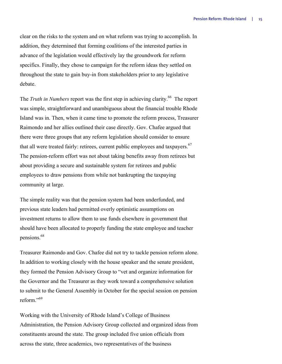clear on the risks to the system and on what reform was trying to accomplish. In addition, they determined that forming coalitions of the interested parties in advance of the legislation would effectively lay the groundwork for reform specifics. Finally, they chose to campaign for the reform ideas they settled on throughout the state to gain buy-in from stakeholders prior to any legislative debate.

The *Truth in Numbers* report was the first step in achieving clarity.<sup>66</sup> The report was simple, straightforward and unambiguous about the financial trouble Rhode Island was in. Then, when it came time to promote the reform process, Treasurer Raimondo and her allies outlined their case directly. Gov. Chafee argued that there were three groups that any reform legislation should consider to ensure that all were treated fairly: retirees, current public employees and taxpayers.<sup>67</sup> The pension-reform effort was not about taking benefits away from retirees but about providing a secure and sustainable system for retirees and public employees to draw pensions from while not bankrupting the taxpaying community at large.

The simple reality was that the pension system had been underfunded, and previous state leaders had permitted overly optimistic assumptions on investment returns to allow them to use funds elsewhere in government that should have been allocated to properly funding the state employee and teacher pensions.<sup>68</sup>

Treasurer Raimondo and Gov. Chafee did not try to tackle pension reform alone. In addition to working closely with the house speaker and the senate president, they formed the Pension Advisory Group to "vet and organize information for the Governor and the Treasurer as they work toward a comprehensive solution to submit to the General Assembly in October for the special session on pension reform<sup>"69</sup>

Working with the University of Rhode Island's College of Business Administration, the Pension Advisory Group collected and organized ideas from constituents around the state. The group included five union officials from across the state, three academics, two representatives of the business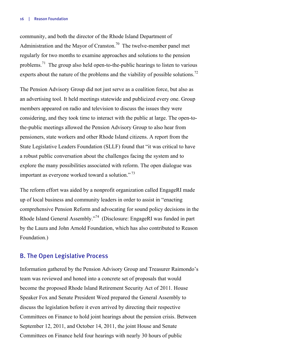#### 16 | Reason Foundation

community, and both the director of the Rhode Island Department of Administration and the Mayor of Cranston.<sup>70</sup> The twelve-member panel met regularly for two months to examine approaches and solutions to the pension problems.71 The group also held open-to-the-public hearings to listen to various experts about the nature of the problems and the viability of possible solutions.<sup>72</sup>

The Pension Advisory Group did not just serve as a coalition force, but also as an advertising tool. It held meetings statewide and publicized every one. Group members appeared on radio and television to discuss the issues they were considering, and they took time to interact with the public at large. The open-tothe-public meetings allowed the Pension Advisory Group to also hear from pensioners, state workers and other Rhode Island citizens. A report from the State Legislative Leaders Foundation (SLLF) found that "it was critical to have a robust public conversation about the challenges facing the system and to explore the many possibilities associated with reform. The open dialogue was important as everyone worked toward a solution."<sup>73</sup>

The reform effort was aided by a nonprofit organization called EngageRI made up of local business and community leaders in order to assist in "enacting comprehensive Pension Reform and advocating for sound policy decisions in the Rhode Island General Assembly."74 (Disclosure: EngageRI was funded in part by the Laura and John Arnold Foundation, which has also contributed to Reason Foundation.)

### B. The Open Legislative Process

Information gathered by the Pension Advisory Group and Treasurer Raimondo's team was reviewed and honed into a concrete set of proposals that would become the proposed Rhode Island Retirement Security Act of 2011. House Speaker Fox and Senate President Weed prepared the General Assembly to discuss the legislation before it even arrived by directing their respective Committees on Finance to hold joint hearings about the pension crisis. Between September 12, 2011, and October 14, 2011, the joint House and Senate Committees on Finance held four hearings with nearly 30 hours of public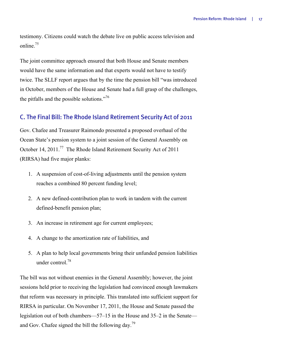testimony. Citizens could watch the debate live on public access television and online.<sup>75</sup>

The joint committee approach ensured that both House and Senate members would have the same information and that experts would not have to testify twice. The SLLF report argues that by the time the pension bill "was introduced in October, members of the House and Senate had a full grasp of the challenges, the pitfalls and the possible solutions."<sup>76</sup>

## C. The Final Bill: The Rhode Island Retirement Security Act of 2011

Gov. Chafee and Treasurer Raimondo presented a proposed overhaul of the Ocean State's pension system to a joint session of the General Assembly on October 14, 2011.<sup>77</sup> The Rhode Island Retirement Security Act of 2011 (RIRSA) had five major planks:

- 1. A suspension of cost-of-living adjustments until the pension system reaches a combined 80 percent funding level;
- 2. A new defined-contribution plan to work in tandem with the current defined-benefit pension plan;
- 3. An increase in retirement age for current employees;
- 4. A change to the amortization rate of liabilities, and
- 5. A plan to help local governments bring their unfunded pension liabilities under control $^{78}$

The bill was not without enemies in the General Assembly; however, the joint sessions held prior to receiving the legislation had convinced enough lawmakers that reform was necessary in principle. This translated into sufficient support for RIRSA in particular. On November 17, 2011, the House and Senate passed the legislation out of both chambers—57–15 in the House and 35–2 in the Senate and Gov. Chafee signed the bill the following day.<sup>79</sup>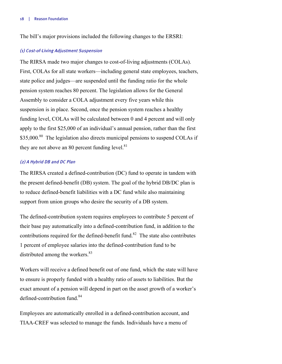The bill's major provisions included the following changes to the ERSRI:

#### (1) Cost-of-Living Adjustment Suspension

The RIRSA made two major changes to cost-of-living adjustments (COLAs). First, COLAs for all state workers—including general state employees, teachers, state police and judges—are suspended until the funding ratio for the whole pension system reaches 80 percent. The legislation allows for the General Assembly to consider a COLA adjustment every five years while this suspension is in place. Second, once the pension system reaches a healthy funding level, COLAs will be calculated between 0 and 4 percent and will only apply to the first \$25,000 of an individual's annual pension, rather than the first  $$35,000$ <sup>80</sup> The legislation also directs municipal pensions to suspend COLAs if they are not above an 80 percent funding level. $81$ 

#### (2) A Hybrid DB and DC Plan

The RIRSA created a defined-contribution (DC) fund to operate in tandem with the present defined-benefit (DB) system. The goal of the hybrid DB/DC plan is to reduce defined-benefit liabilities with a DC fund while also maintaining support from union groups who desire the security of a DB system.

The defined-contribution system requires employees to contribute 5 percent of their base pay automatically into a defined-contribution fund, in addition to the contributions required for the defined-benefit fund.<sup>82</sup> The state also contributes 1 percent of employee salaries into the defined-contribution fund to be distributed among the workers.<sup>83</sup>

Workers will receive a defined benefit out of one fund, which the state will have to ensure is properly funded with a healthy ratio of assets to liabilities. But the exact amount of a pension will depend in part on the asset growth of a worker's defined-contribution fund.<sup>84</sup>

Employees are automatically enrolled in a defined-contribution account, and TIAA-CREF was selected to manage the funds. Individuals have a menu of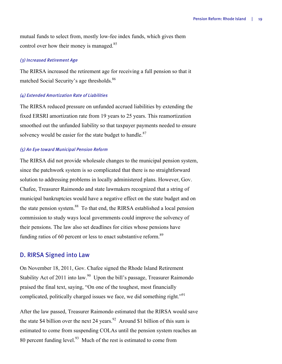mutual funds to select from, mostly low-fee index funds, which gives them control over how their money is managed.<sup>85</sup>

#### (3) Increased Retirement Age

The RIRSA increased the retirement age for receiving a full pension so that it matched Social Security's age thresholds.<sup>86</sup>

#### (4) Extended Amortization Rate of Liabilities

The RIRSA reduced pressure on unfunded accrued liabilities by extending the fixed ERSRI amortization rate from 19 years to 25 years. This reamortization smoothed out the unfunded liability so that taxpayer payments needed to ensure solvency would be easier for the state budget to handle. $87$ 

#### (5) An Eye toward Municipal Pension Reform

The RIRSA did not provide wholesale changes to the municipal pension system, since the patchwork system is so complicated that there is no straightforward solution to addressing problems in locally administered plans. However, Gov. Chafee, Treasurer Raimondo and state lawmakers recognized that a string of municipal bankruptcies would have a negative effect on the state budget and on the state pension system.<sup>88</sup> To that end, the RIRSA established a local pension commission to study ways local governments could improve the solvency of their pensions. The law also set deadlines for cities whose pensions have funding ratios of 60 percent or less to enact substantive reform.<sup>89</sup>

#### D. RIRSA Signed into Law

On November 18, 2011, Gov. Chafee signed the Rhode Island Retirement Stability Act of 2011 into law.<sup>90</sup> Upon the bill's passage, Treasurer Raimondo praised the final text, saying, "On one of the toughest, most financially complicated, politically charged issues we face, we did something right."<sup>91</sup>

After the law passed, Treasurer Raimondo estimated that the RIRSA would save the state \$4 billion over the next 24 years.<sup>92</sup> Around \$1 billion of this sum is estimated to come from suspending COLAs until the pension system reaches an 80 percent funding level. $93$  Much of the rest is estimated to come from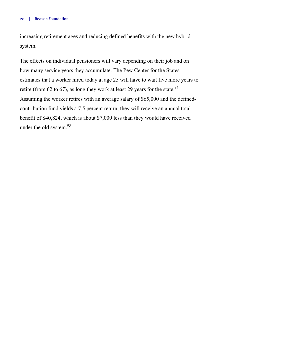increasing retirement ages and reducing defined benefits with the new hybrid system.

The effects on individual pensioners will vary depending on their job and on how many service years they accumulate. The Pew Center for the States estimates that a worker hired today at age 25 will have to wait five more years to retire (from 62 to 67), as long they work at least 29 years for the state.<sup>94</sup> Assuming the worker retires with an average salary of \$65,000 and the definedcontribution fund yields a 7.5 percent return, they will receive an annual total benefit of \$40,824, which is about \$7,000 less than they would have received under the old system.<sup>95</sup>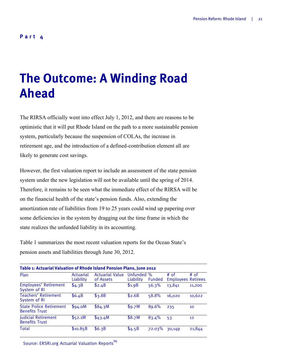## **The Outcome: A Winding Road Ahead**

The RIRSA officially went into effect July 1, 2012, and there are reasons to be optimistic that it will put Rhode Island on the path to a more sustainable pension system, particularly because the suspension of COLAs, the increase in retirement age, and the introduction of a defined-contribution element all are likely to generate cost savings.

However, the first valuation report to include an assessment of the state pension system under the new legislation will not be available until the spring of 2014. Therefore, it remains to be seen what the immediate effect of the RIRSA will be on the financial health of the state's pension funds. Also, extending the amortization rate of liabilities from 19 to 25 years could wind up papering over some deficiencies in the system by dragging out the time frame in which the state realizes the unfunded liability in its accounting.

Table 1 summarizes the most recent valuation reports for the Ocean State's pension assets and liabilities through June 30, 2012.

| Table 1: Actuarial Valuation of Rhode Island Pension Plans, June 2012 |                        |                                     |                              |                       |                                     |        |  |  |  |  |
|-----------------------------------------------------------------------|------------------------|-------------------------------------|------------------------------|-----------------------|-------------------------------------|--------|--|--|--|--|
| Plan                                                                  | Actuarial<br>Liability | <b>Actuarial Value</b><br>of Assets | <b>Unfunded</b><br>Liability | $\%$<br><b>Funded</b> | $#$ of<br><b>Employees Retirees</b> | # of   |  |  |  |  |
| Employees' Retirement<br>System of RI                                 | \$4.3B                 | \$2.4B                              | \$1.9B                       | 56.3%                 | 13,841                              | 11,200 |  |  |  |  |
| Teachers' Retirement<br>System of RI                                  | \$6.4B                 | \$3.8B                              | \$2.6B                       | 58.8%                 | 16.020                              | 10,622 |  |  |  |  |
| <b>State Police Retirement</b><br><b>Benefits Trust</b>               | \$94.0M                | \$84.3M                             | \$9.7M                       | 89.6%                 | 235                                 | 10     |  |  |  |  |
| <b>Judicial Retirement</b><br><b>Benefits Trust</b>                   | \$52.1M                | \$43.4M                             | \$8.7M                       | 83.4%                 | 53                                  | 12     |  |  |  |  |
| Total                                                                 | \$10.85B               | \$6.3B                              | \$4.5B                       | 72.03%                | 30,149                              | 21,844 |  |  |  |  |

Source: ERSRI.org Actuarial Valuation Reports<sup>96</sup>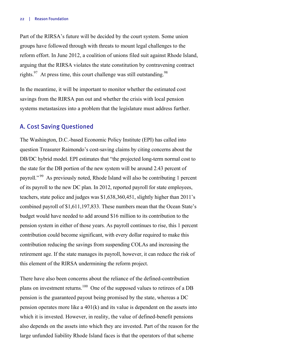Part of the RIRSA's future will be decided by the court system. Some union groups have followed through with threats to mount legal challenges to the reform effort. In June 2012, a coalition of unions filed suit against Rhode Island, arguing that the RIRSA violates the state constitution by contravening contract rights.<sup>97</sup> At press time, this court challenge was still outstanding.<sup>98</sup>

In the meantime, it will be important to monitor whether the estimated cost savings from the RIRSA pan out and whether the crisis with local pension systems metastasizes into a problem that the legislature must address further.

### A. Cost Saving Questioned

The Washington, D.C.-based Economic Policy Institute (EPI) has called into question Treasurer Raimondo's cost-saving claims by citing concerns about the DB/DC hybrid model. EPI estimates that "the projected long-term normal cost to the state for the DB portion of the new system will be around 2.43 percent of payroll." 99 As previously noted, Rhode Island will also be contributing 1 percent of its payroll to the new DC plan. In 2012, reported payroll for state employees, teachers, state police and judges was \$1,638,360,451, slightly higher than 2011's combined payroll of \$1,611,197,833. These numbers mean that the Ocean State's budget would have needed to add around \$16 million to its contribution to the pension system in either of those years. As payroll continues to rise, this 1 percent contribution could become significant, with every dollar required to make this contribution reducing the savings from suspending COLAs and increasing the retirement age. If the state manages its payroll, however, it can reduce the risk of this element of the RIRSA undermining the reform project.

There have also been concerns about the reliance of the defined-contribution plans on investment returns.<sup>100</sup> One of the supposed values to retirees of a DB pension is the guaranteed payout being promised by the state, whereas a DC pension operates more like a  $401(k)$  and its value is dependent on the assets into which it is invested. However, in reality, the value of defined-benefit pensions also depends on the assets into which they are invested. Part of the reason for the large unfunded liability Rhode Island faces is that the operators of that scheme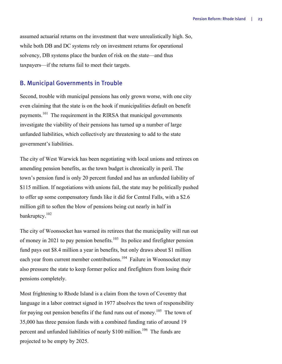assumed actuarial returns on the investment that were unrealistically high. So, while both DB and DC systems rely on investment returns for operational solvency, DB systems place the burden of risk on the state—and thus taxpayers—if the returns fail to meet their targets.

## B. Municipal Governments in Trouble

Second, trouble with municipal pensions has only grown worse, with one city even claiming that the state is on the hook if municipalities default on benefit payments.<sup>101</sup> The requirement in the RIRSA that municipal governments investigate the viability of their pensions has turned up a number of large unfunded liabilities, which collectively are threatening to add to the state government's liabilities.

The city of West Warwick has been negotiating with local unions and retirees on amending pension benefits, as the town budget is chronically in peril. The town's pension fund is only 20 percent funded and has an unfunded liability of \$115 million. If negotiations with unions fail, the state may be politically pushed to offer up some compensatory funds like it did for Central Falls, with a \$2.6 million gift to soften the blow of pensions being cut nearly in half in bankruptcy.102

The city of Woonsocket has warned its retirees that the municipality will run out of money in 2021 to pay pension benefits.<sup>103</sup> Its police and firefighter pension fund pays out \$8.4 million a year in benefits, but only draws about \$1 million each year from current member contributions.<sup>104</sup> Failure in Woonsocket may also pressure the state to keep former police and firefighters from losing their pensions completely.

Most frightening to Rhode Island is a claim from the town of Coventry that language in a labor contract signed in 1977 absolves the town of responsibility for paying out pension benefits if the fund runs out of money.<sup>105</sup> The town of 35,000 has three pension funds with a combined funding ratio of around 19 percent and unfunded liabilities of nearly \$100 million.<sup>106</sup> The funds are projected to be empty by 2025.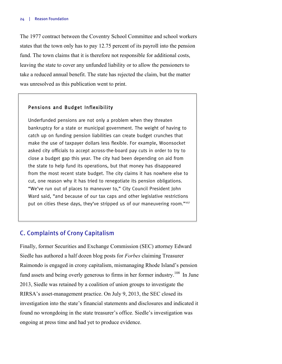The 1977 contract between the Coventry School Committee and school workers states that the town only has to pay 12.75 percent of its payroll into the pension fund. The town claims that it is therefore not responsible for additional costs, leaving the state to cover any unfunded liability or to allow the pensioners to take a reduced annual benefit. The state has rejected the claim, but the matter was unresolved as this publication went to print.

### Pensions and Budget Inflexibility

Underfunded pensions are not only a problem when they threaten bankruptcy for a state or municipal government. The weight of having to catch up on funding pension liabilities can create budget crunches that make the use of taxpayer dollars less flexible. For example, Woonsocket asked city officials to accept across-the-board pay cuts in order to try to close a budget gap this year. The city had been depending on aid from the state to help fund its operations, but that money has disappeared from the most recent state budget. The city claims it has nowhere else to cut, one reason why it has tried to renegotiate its pension obligations. "We've run out of places to maneuver to," City Council President John Ward said, "and because of our tax caps and other legislative restrictions put on cities these days, they've stripped us of our maneuvering room."<sup>107</sup>

### C. Complaints of Crony Capitalism

Finally, former Securities and Exchange Commission (SEC) attorney Edward Siedle has authored a half dozen blog posts for *Forbes* claiming Treasurer Raimondo is engaged in crony capitalism, mismanaging Rhode Island's pension fund assets and being overly generous to firms in her former industry.<sup>108</sup> In June 2013, Siedle was retained by a coalition of union groups to investigate the RIRSA's asset-management practice. On July 9, 2013, the SEC closed its investigation into the state's financial statements and disclosures and indicated it found no wrongdoing in the state treasurer's office. Siedle's investigation was ongoing at press time and had yet to produce evidence.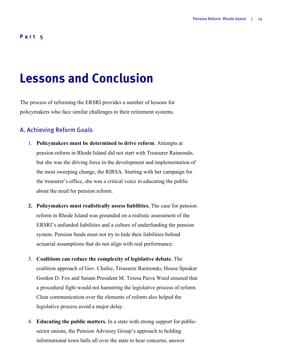### **Part 5**

## **Lessons and Conclusion**

The process of reforming the ERSRI provides a number of lessons for policymakers who face similar challenges to their retirement systems.

### A. Achieving Reform Goals

- 1. **Policymakers must be determined to drive reform**. Attempts at pension reform in Rhode Island did not start with Treasurer Raimondo, but she was the driving force in the development and implementation of the most sweeping change, the RIRSA. Starting with her campaign for the treasurer's office, she was a critical voice in educating the public about the need for pension reform.
- **2. Policymakers must realistically assess liabilities.** The case for pension reform in Rhode Island was grounded on a realistic assessment of the ERSRI's unfunded liabilities and a culture of underfunding the pension system. Pension funds must not try to hide their liabilities behind actuarial assumptions that do not align with real performance.
- 3. **Coalitions can reduce the complexity of legislative debate.** The coalition approach of Gov. Chafee, Treasurer Raimondo, House Speaker Gordon D. Fox and Senate President M. Teresa Paiva Weed ensured that a procedural fight would not hamstring the legislative process of reform. Clear communication over the elements of reform also helped the legislative process avoid a major delay.
- 4. **Educating the public matters.** In a state with strong support for publicsector unions, the Pension Advisory Group's approach to holding informational town halls all over the state to hear concerns, answer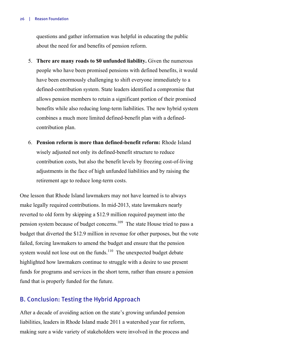#### 26 | Reason Foundation

questions and gather information was helpful in educating the public about the need for and benefits of pension reform.

- 5. **There are many roads to \$0 unfunded liability.** Given the numerous people who have been promised pensions with defined benefits, it would have been enormously challenging to shift everyone immediately to a defined-contribution system. State leaders identified a compromise that allows pension members to retain a significant portion of their promised benefits while also reducing long-term liabilities. The new hybrid system combines a much more limited defined-benefit plan with a definedcontribution plan.
- 6. **Pension reform is more than defined-benefit reform:** Rhode Island wisely adjusted not only its defined-benefit structure to reduce contribution costs, but also the benefit levels by freezing cost-of-living adjustments in the face of high unfunded liabilities and by raising the retirement age to reduce long-term costs.

One lesson that Rhode Island lawmakers may not have learned is to always make legally required contributions. In mid-2013, state lawmakers nearly reverted to old form by skipping a \$12.9 million required payment into the pension system because of budget concerns.<sup>109</sup> The state House tried to pass a budget that diverted the \$12.9 million in revenue for other purposes, but the vote failed, forcing lawmakers to amend the budget and ensure that the pension system would not lose out on the funds. $110$  The unexpected budget debate highlighted how lawmakers continue to struggle with a desire to use present funds for programs and services in the short term, rather than ensure a pension fund that is properly funded for the future.

## B. Conclusion: Testing the Hybrid Approach

After a decade of avoiding action on the state's growing unfunded pension liabilities, leaders in Rhode Island made 2011 a watershed year for reform, making sure a wide variety of stakeholders were involved in the process and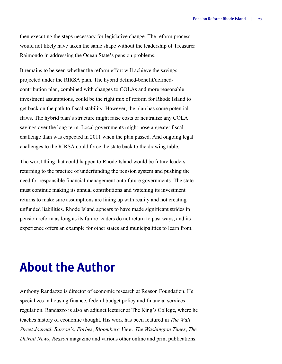then executing the steps necessary for legislative change. The reform process would not likely have taken the same shape without the leadership of Treasurer Raimondo in addressing the Ocean State's pension problems.

It remains to be seen whether the reform effort will achieve the savings projected under the RIRSA plan. The hybrid defined-benefit/definedcontribution plan, combined with changes to COLAs and more reasonable investment assumptions, could be the right mix of reform for Rhode Island to get back on the path to fiscal stability. However, the plan has some potential flaws. The hybrid plan's structure might raise costs or neutralize any COLA savings over the long term. Local governments might pose a greater fiscal challenge than was expected in 2011 when the plan passed. And ongoing legal challenges to the RIRSA could force the state back to the drawing table.

The worst thing that could happen to Rhode Island would be future leaders returning to the practice of underfunding the pension system and pushing the need for responsible financial management onto future governments. The state must continue making its annual contributions and watching its investment returns to make sure assumptions are lining up with reality and not creating unfunded liabilities. Rhode Island appears to have made significant strides in pension reform as long as its future leaders do not return to past ways, and its experience offers an example for other states and municipalities to learn from.

## **About the Author**

Anthony Randazzo is director of economic research at Reason Foundation. He specializes in housing finance, federal budget policy and financial services regulation. Randazzo is also an adjunct lecturer at The King's College, where he teaches history of economic thought. His work has been featured in *The Wall Street Journal*, *Barron's*, *Forbes*, *Bloomberg View*, *The Washington Times*, *The Detroit News*, *Reason* magazine and various other online and print publications.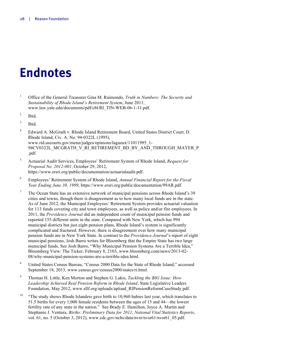## **Endnotes**

- <sup>1</sup> Office of the General Treasurer Gina M. Raimondo, *Truth in Numbers: The Security and Sustainability of Rhode Island's Retirement System*, June 2011, www.law.yale.edu/documents/pdf/cbl/RI\_TIN-WEB-06-1-11.pdf.
- <sup>2</sup> Ibid.
- <sup>3</sup> Ibid.
- <sup>4</sup> Edward A. McGrath v. Rhode Island Retirement Board, United States District Court, D. Rhode Island, Civ. A. No. 94-0322L (1995), www.rid.uscourts.gov/menu/judges/opinions/lagueux/11011995\_1- 94CV0322L\_MCGRATH\_V\_RI\_RETIREMENT\_BD\_BY\_AND\_THROUGH\_MAYER\_P .pdf.
- <sup>5</sup> Actuarial Audit Services, Employees' Retirement System of Rhode Island, *Request for Proposal No. 2012-001*, October 29, 2012, https://www.ersri.org/public/documentation/actuarialaudit.pdf.
- <sup>6</sup> Employees' Retirement System of Rhode Island, *Annual Financial Report for the Fiscal Year Ending June 30, 1999*, https://www.ersri.org/public/documentation/99AR.pdf.
- <sup>7</sup> The Ocean State has an extensive network of municipal pensions across Rhode Island's 39 cities and towns, though there is disagreement as to how many local funds are in the state. As of June 2012, the Municipal Employees' Retirement System provides actuarial valuation for 113 funds covering city and town employees, as well as police and/or fire employees. In 2011, the *Providence Journal* did an independent count of municipal pension funds and reported 155 different units in the state. Compared with New York, which has 994 municipal districts but just eight pension plans, Rhode Island's system is significantly complicated and fractured. However, there is disagreement over how many municipal pension funds are in New York State. In contrast to the *Providence Journal*'s report of eight municipal pensions, Josh Barro writes for Bloomberg that the Empire State has two large municipal funds. See Josh Barro, "Why Municipal Pension Systems Are a Terrible Idea," Bloomberg View: The Ticker, February 8, 2103, www.bloomberg.com/news/2013-02- 08/why-municipal-pension-systems-are-a-terrible-idea.html.
- <sup>8</sup> United States Census Bureau, "Census 2000 Data for the State of Rhode Island," accessed September 18, 2013, www.census.gov/census2000/states/ri.html.
- <sup>9</sup> Thomas H. Little, Ken Morton and Stephen G. Lakis, *Tackling the BIG Issue: How Leadership Achieved Real Pension Reform in Rhode Island*, State Legislative Leaders Foundation, May 2012, www.sllf.org/uploads/upload\_RIPensionReformCaseStudy.pdf.
- <sup>10</sup> "The study shows Rhode Islanders gave birth to 10,960 babies last year, which translates to 51.5 births for every 1,000 female residents between the ages of 15 and 44—the lowest fertility rate of any state in the nation." See Brady E. Hamilton, Joyce A. Martin and Stephanie J. Ventura, *Births: Preliminary Data for 2011*, *National Vital Statistics Reports*, vol. 61, no. 5 (October 3, 2012), www.cdc.gov/nchs/data/nvsr/nvsr61/nvsr61\_05.pdf.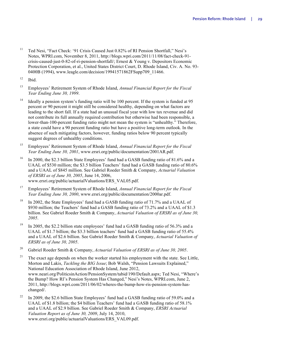- <sup>11</sup> Ted Nesi, "Fact Check: '91 Crisis Caused Just 0.82% of RI Pension Shortfall," Nesi's Notes, WPRI.com, November 8, 2011, http://blogs.wpri.com/2011/11/08/fact-check-91 crisis-caused-just-0-82-of-ri-pension-shortfall/; Ernest & Young v. Depositors Economic Protection Corporation, et al., United States District Court, D. Rhode Island, Civ. A. No. 93- 0400B (1994), www.leagle.com/decision/19941571862FSupp709\_11466.
- $12$  Ibid.
- <sup>13</sup> Employees' Retirement System of Rhode Island, *Annual Financial Report for the Fiscal Year Ending June 30, 1999*.
- <sup>14</sup> Ideally a pension system's funding ratio will be 100 percent. If the system is funded at 95 percent or 90 percent it might still be considered healthy, depending on what factors are leading to the short fall. If a state had an unusual fiscal year with low tax revenue and did not contribute its full annually required contribution but otherwise had been responsible, a lower-than-100-percent funding ratio might not mean the system is "unhealthy." Therefore, a state could have a 90 percent funding ratio but have a positive long-term outlook. In the absence of such mitigating factors, however, funding ratios below 90 percent typically suggest degrees of unhealthy conditions.
- <sup>15</sup> Employees' Retirement System of Rhode Island, *Annual Financial Report for the Fiscal Year Ending June 30, 2001*, www.ersri.org/public/documentation/2001AR.pdf.
- <sup>16</sup> In 2000, the \$2.3 billion State Employees' fund had a GASB funding ratio of 81.6% and a UAAL of \$530 million; the \$3.5 billion Teachers' fund had a GASB funding ratio of 80.6% and a UAAL of \$845 million. See Gabriel Roeder Smith & Company, *Actuarial Valuation of ERSRI as of June 30, 2005*, June 14, 2006, www.ersri.org/public/actuarialValuations/ERS\_VAL05.pdf.
- <sup>17</sup> Employees' Retirement System of Rhode Island, *Annual Financial Report for the Fiscal Year Ending June 30, 2000*, www.ersri.org/public/documentation/2000ar.pdf.
- <sup>18</sup> In 2002, the State Employees' fund had a GASB funding ratio of 71.7% and a UAAL of \$930 million; the Teachers' fund had a GASB funding ratio of 73.2% and a UAAL of \$1.3 billion. See Gabriel Roeder Smith & Company, *Actuarial Valuation of ERSRI as of June 30, 2005*.
- <sup>19</sup> In 2005, the \$2.2 billion state employees' fund had a GASB funding ratio of 56.3% and a UAAL of \$1.7 billion; the \$3.3 billion teachers' fund had a GASB funding ratio of 55.4% and a UAAL of \$2.6 billion. See Gabriel Roeder Smith & Company, *Actuarial Valuation of ERSRI as of June 30, 2005*.
- <sup>20</sup> Gabriel Roeder Smith & Company, *Actuarial Valuation of ERSRI as of June 30, 2005*.
- <sup>21</sup> The exact age depends on when the worker started his employment with the state. See Little, Morton and Lakis, *Tackling the BIG Issue*; Bob Walsh, "Pension Lawsuits Explained," National Education Association of Rhode Island, June 2012, www.neari.org/PoliticsinAction/PensionSystem/tabid/190/Default.aspx; Ted Nesi, "Where's the Bump? How RI's Pension System Has Changed," Nesi's Notes, WPRI.com, June 2, 2011, http://blogs.wpri.com/2011/06/02/wheres-the-bump-how-ris-pension-system-haschanged/.
- <sup>22</sup> In 2009, the \$2.6 billion State Employees' fund had a GASB funding ratio of 59.0% and a UAAL of \$1.8 billion; the \$4 billion Teachers' fund had a GASB funding ratio of 58.1% and a UAAL of \$2.9 billion. See Gabriel Roeder Smith & Company, *ERSRI Actuarial Valuation Report as of June 30, 2009*, July 14, 2010, www.ersri.org/public/actuarialValuations/ERS\_VAL09.pdf.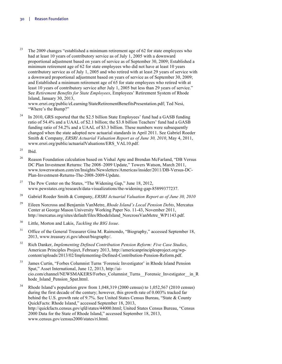<sup>23</sup> The 2009 changes "established a minimum retirement age of 62 for state employees who had at least 10 years of contributory service as of July 1, 2005 with a downward proportional adjustment based on years of service as of September 30, 2009; Established a minimum retirement age of 62 for state employees who did not have at least 10 years contributory service as of July 1, 2005 and who retired with at least 29 years of service with a downward proportional adjustment based on years of service as of September 30, 2009; and Established a minimum retirement age of 65 for state employees who retired with at least 10 years of contributory service after July 1, 2005 but less than 29 years of service." See *Retirement Benefits for State Employees*, Employees' Retirement System of Rhode Island, January 30, 2013, www.ersri.org/public/eLearning/StateRetirementBenefitsPresentation.pdf; Ted Nesi,

"Where's the Bump?"

<sup>24</sup> In 2010, GRS reported that the \$2.5 billion State Employees' fund had a GASB funding ratio of 54.4% and a UAAL of \$2.1 billion; the \$3.8 billion Teachers' fund had a GASB funding ratio of 54.2% and a UAAL of \$3.3 billion. These numbers were subsequently changed when the state adopted new actuarial standards in April 2011. See Gabriel Roeder Smith & Company, *ERSRI Actuarial Valuation Report as of June 30, 2010*, May 4, 2011, www.ersri.org/public/actuarialValuations/ERS\_VAL10.pdf.

- <sup>26</sup> Reason Foundation calculation based on Vishal Apte and Brendan McFarland, "DB Versus DC Plan Investment Returns: The 2008–2009 Update," Towers Watson, March 2011, www.towerswatson.com/en/Insights/Newsletters/Americas/insider/2011/DB-Versus-DC-Plan-Investment-Returns-The-2008-2009-Update.
- <sup>27</sup> The Pew Center on the States, "The Widening Gap," June 18, 2012, www.pewstates.org/research/data-visualizations/the-widening-gap-85899377237.
- <sup>28</sup> Gabriel Roeder Smith & Company, *ERSRI Actuarial Valuation Report as of June 30, 2010*
- <sup>29</sup> Eileen Norcross and Benjamin VanMetre, *Rhode Island's Local Pension Debts*, Mercatus Center at George Mason University Working Paper No. 11-43, November 2011, http://mercatus.org/sites/default/files/RhodeIsland\_NorcrossVanMetre\_WP1143.pdf.
- <sup>30</sup> Little, Morton and Lakis, *Tackling the BIG Issue*.
- <sup>31</sup> Office of the General Treasurer Gina M. Raimondo, "Biography," accessed September 18, 2013, www.treasury.ri.gov/about/biography/.
- <sup>32</sup> Rich Danker, *Implementing Defined Contribution Pension Reform: Five Case Studies*, American Principles Project, February 2013, http://americanprinciplesproject.org/wpcontent/uploads/2013/02/Implementing-Defined-Contribution-Pension-Reform.pdf.
- <sup>33</sup> James Curtin, "Forbes Columnist Turns 'Forensic Investigator' in Rhode Island Pension Spat," Asset International, June 12, 2013, http://aicio.com/channel/NEWSMAKERS/Forbes\_Columnist\_Turns\_\_Forensic\_Investigator\_\_in\_R hode\_Island\_Pension\_Spat.html.
- $34$  Rhode Island's population grew from 1,048,319 (2000 census) to 1,052,567 (2010 census) during the first decade of the century; however, this growth rate of 0.003% tracked far behind the U.S. growth rate of 9.7%. See United States Census Bureau, "State & County QuickFacts: Rhode Island," accessed September 18, 2013, http://quickfacts.census.gov/qfd/states/44000.html; United States Census Bureau, "Census 2000 Data for the State of Rhode Island," accessed September 18, 2013, www.census.gov/census2000/states/ri.html.

 $25$  Ibid.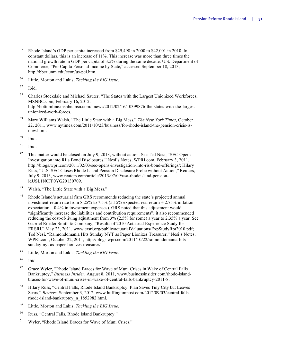- <sup>35</sup> Rhode Island's GDP per capita increased from \$29,498 in 2000 to \$42,001 in 2010. In constant dollars, this is an increase of 11%. This increase was more than three times the national growth rate in GDP per capita of 3.5% during the same decade. U.S. Department of Commerce, "Per Capita Personal Income by State," accessed September 18, 2013, http://bber.unm.edu/econ/us-pci.htm.
- <sup>36</sup> Little, Morton and Lakis, *Tackling the BIG Issue*.
- $37$  Ibid.
- <sup>38</sup> Charles Stockdale and Michael Sauter, "The States with the Largest Unionized Workforces, MSNBC.com, February 16, 2012, http://bottomline.msnbc.msn.com/\_news/2012/02/16/10399876-the-states-with-the-largestunionized-work-forces.
- <sup>39</sup> Mary Williams Walsh, "The Little State with a Big Mess," *The New York Times*, October 22, 2011, www.nytimes.com/2011/10/23/business/for-rhode-island-the-pension-crisis-isnow.html.
- $40$  Ibid.
- $41$  Ibid.
- <sup>42</sup> This matter would be closed on July 9, 2013, without action. See Ted Nesi, "SEC Opens Investigation into RI's Bond Disclosures," Nesi's Notes, WPRI.com, February 3, 2011, http://blogs.wpri.com/2011/02/03/sec-opens-investigation-into-ris-bond-offerings/; Hilary Russ, "U.S. SEC Closes Rhode Island Pension Disclosure Probe without Action," Reuters, July 9, 2013, www.reuters.com/article/2013/07/09/usa-rhodeisland-pensionidUSL1N0FF0YG20130709.
- <sup>43</sup> Walsh, "The Little State with a Big Mess."
- <sup>44</sup> Rhode Island's actuarial firm GRS recommends reducing the state's projected annual investment-return rate from 8.25% to 7.5% (5.15% expected real return + 2.75% inflation expectation – 0.4% in investment expenses). GRS noted that this adjustment would "significantly increase the liabilities and contribution requirements"; it also recommended reducing the cost-of-living adjustment from 3% (2.5% for some) a year to 2.35% a year. See Gabriel Roeder Smith & Company, "Results of 2010 Actuarial Experience Study for ERSRI," May 23, 2011, www.ersri.org/public/actuarialValuations/ExpStudyRpt2010.pdf; Ted Nesi, "Raimondomania Hits Sunday NYT as Paper Lionizes Treasurer," Nesi's Notes, WPRI.com, October 22, 2011, http://blogs.wpri.com/2011/10/22/raimondomania-hitssunday-nyt-as-paper-lionizes-treasurer/.
- <sup>45</sup> Little, Morton and Lakis, *Tackling the BIG Issue*.
- <sup>46</sup> Ibid.
- <sup>47</sup> Grace Wyler, "Rhode Island Braces for Wave of Muni Crises in Wake of Central Falls Bankruptcy," *Business Insider*, August 8, 2011, www.businessinsider.com/rhode-islandbraces-for-wave-of-muni-crises-in-wake-of-central-falls-bankruptcy-2011-8.
- <sup>48</sup> Hilary Russ, "Central Falls, Rhode Island Bankruptcy: Plan Saves Tiny City but Leaves Scars," *Reuters*, September 3, 2012, www.huffingtonpost.com/2012/09/03/central-fallsrhode-island-bankruptcy\_n\_1852982.html.
- <sup>49</sup> Little, Morton and Lakis, *Tackling the BIG Issue*.
- <sup>50</sup> Russ, "Central Falls, Rhode Island Bankruptcy."
- <sup>51</sup> Wyler, "Rhode Island Braces for Wave of Muni Crises."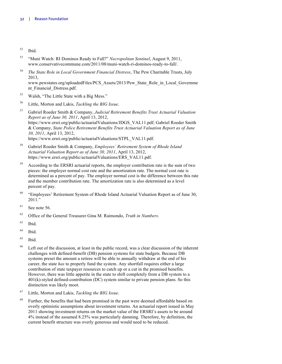- <sup>52</sup> Ibid.
- <sup>53</sup> "Muni Watch: RI Dominos Ready to Fall?" *Necropolitan Sentinel*, August 9, 2011, www.conservativecommune.com/2011/08/muni-watch-ri-dominos-ready-to-fall/.
- <sup>54</sup> *The State Role in Local Government Financial Distress*, The Pew Charitable Trusts, July 2013,

www.pewstates.org/uploadedFiles/PCS\_Assets/2013/Pew\_State\_Role\_in\_Local\_Governme nt Financial Distress.pdf.

- <sup>55</sup> Walsh, "The Little State with a Big Mess."
- <sup>56</sup> Little, Morton and Lakis, *Tackling the BIG Issue*.
- <sup>57</sup> Gabriel Roeder Smith & Company, *Judicial Retirement Benefits Trust Actuarial Valuation Report as of June 30, 2011*, April 13, 2012, https://www.ersri.org/public/actuarialValuations/JDGS\_VAL11.pdf; Gabriel Roeder Smith & Company, *State Police Retirement Benefits Trust Actuarial Valuation Report as of June 30, 2011*, April 13, 2012, https://www.ersri.org/public/actuarialValuations/STPL\_VAL11.pdf.
- <sup>58</sup> Gabriel Roeder Smith & Company, *Employees' Retirement System of Rhode Island Actuarial Valuation Report as of June 30, 2011*, April 13, 2012, https://www.ersri.org/public/actuarialValuations/ERS\_VAL11.pdf.
- <sup>59</sup> According to the ERSRI actuarial reports, the employer contribution rate is the sum of two pieces: the employer normal cost rate and the amortization rate. The normal cost rate is determined as a percent of pay. The employer normal cost is the difference between this rate and the member contribution rate. The amortization rate is also determined as a level percent of pay.
- $60$  "Employees' Retirement System of Rhode Island Actuarial Valuation Report as of June 30, 2011."
- $61$  See note 56.
- <sup>62</sup> Office of the General Treasurer Gina M. Raimondo, *Truth in Numbers*.
- $^{63}$  Ibid.
- $64$  Ibid.
- $65$  Ibid.
- <sup>66</sup> Left out of the discussion, at least in the public record, was a clear discussion of the inherent challenges with defined-benefit (DB) pension systems for state budgets. Because DB systems preset the amount a retiree will be able to annually withdraw at the end of his career, the state *has* to properly fund the system. Any shortfall requires either a large contribution of state taxpayer resources to catch up or a cut in the promised benefits. However, there was little appetite in the state to shift completely from a DB system to a 401(k)-styled defined-contribution (DC) system similar to private pension plans. So this distinction was likely moot.
- <sup>67</sup> Little, Morton and Lakis, *Tackling the BIG Issue*.
- <sup>68</sup> Further, the benefits that had been promised in the past were deemed affordable based on overly optimistic assumptions about investment returns. An actuarial report issued in May 2011 showing investment returns on the market value of the ERSRI's assets to be around 4% instead of the assumed 8.25% was particularly damning. Therefore, by definition, the current benefit structure was overly generous and would need to be reduced.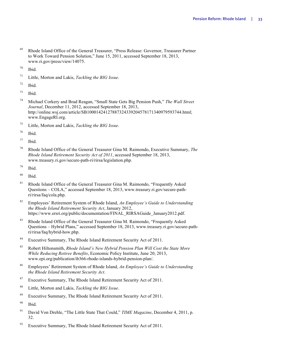- <sup>69</sup> Rhode Island Office of the General Treasurer, "Press Release: Governor, Treasurer Partner to Work Toward Pension Solution," June 15, 2011, accessed September 18, 2013, www.ri.gov/press/view/14075.
- $70$  Ibid.
- <sup>71</sup> Little, Morton and Lakis, *Tackling the BIG Issue*.
- $72$  Ibid.
- $73$  Ibid.
- <sup>74</sup> Michael Corkery and Brad Reagan, "Small State Gets Big Pension Push," *The Wall Street Journal*, December 11, 2012, accessed September 18, 2013, http://online.wsj.com/article/SB10001424127887324339204578171340979593744.html; www.EngageRI.org.
- <sup>75</sup> Little, Morton and Lakis, *Tackling the BIG Issue*.
- <sup>76</sup> Ibid.
- $77$  Ibid.
- <sup>78</sup> Rhode Island Office of the General Treasurer Gina M. Raimondo, Executive Summary, *The Rhode Island Retirement Security Act of 2011*, accessed September 18, 2013, www.treasury.ri.gov/secure-path-ri/rirsa/legislation.php.
- <sup>79</sup> Ibid.
- $80$  Ibid.
- <sup>81</sup> Rhode Island Office of the General Treasurer Gina M. Raimondo, "Frequently Asked" Questions – COLA," accessed September 18, 2013, www.treasury.ri.gov/secure-pathri/rirsa/faq/cola.php.
- <sup>82</sup> Employees' Retirement System of Rhode Island, *An Employee's Guide to Understanding the Rhode Island Retirement Security Act*, January 2012, https://www.ersri.org/public/documentation/FINAL\_RIRSAGuide\_January2012.pdf.
- <sup>83</sup> Rhode Island Office of the General Treasurer Gina M. Raimondo, "Frequently Asked Questions – Hybrid Plans," accessed September 18, 2013, www.treasury.ri.gov/secure-pathri/rirsa/faq/hybrid-how.php.
- <sup>84</sup> Executive Summary, The Rhode Island Retirement Security Act of 2011.
- <sup>85</sup> Robert Hiltonsmith, *Rhode Island's New Hybrid Pension Plan Will Cost the State More While Reducing Retiree Benefits*, Economic Policy Institute, June 20, 2013, www.epi.org/publication/ib366-rhode-islands-hybrid-pension-plan/.
- <sup>86</sup> Employees' Retirement System of Rhode Island, *An Employee's Guide to Understanding the Rhode Island Retirement Security Act*.
- <sup>87</sup> Executive Summary, The Rhode Island Retirement Security Act of 2011.
- <sup>88</sup> Little, Morton and Lakis, *Tackling the BIG Issue*.
- <sup>89</sup> Executive Summary, The Rhode Island Retirement Security Act of 2011.
- $90$  Ibid.
- <sup>91</sup> David Von Drehle, "The Little State That Could," *TIME Magazine*, December 4, 2011, p. 32.
- <sup>92</sup> Executive Summary, The Rhode Island Retirement Security Act of 2011.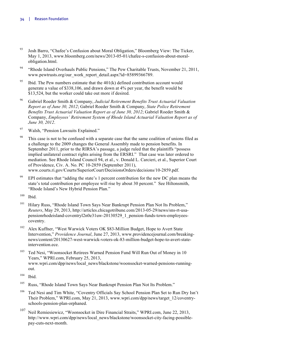- <sup>93</sup> Josh Barro, "Chafee's Confusion about Moral Obligation," Bloomberg View: The Ticker, May 1, 2013, www.bloomberg.com/news/2013-05-01/chafee-s-confusion-about-moralobligation.html.
- <sup>94</sup> "Rhode Island Overhauls Public Pensions," The Pew Charitable Trusts, November 21, 2011, www.pewtrusts.org/our\_work\_report\_detail.aspx?id=85899366789.
- <sup>95</sup> Ibid. The Pew numbers estimate that the  $401(k)$  defined contribution account would generate a value of \$338,106, and drawn down at 4% per year, the benefit would be \$13,524, but the worker could take out more if desired.
- <sup>96</sup> Gabriel Roeder Smith & Company, *Judicial Retirement Benefits Trust Actuarial Valuation Report as of June 30, 2012*; Gabriel Roeder Smith & Company, *State Police Retirement Benefits Trust Actuarial Valuation Report as of June 30, 2012*; Gabriel Roeder Smith & Company, *Employees' Retirement System of Rhode Island Actuarial Valuation Report as of June 30, 2012*.
- <sup>97</sup> Walsh, "Pension Lawsuits Explained."
- <sup>98</sup> This case is not to be confused with a separate case that the same coalition of unions filed as a challenge to the 2009 changes the General Assembly made to pension benefits. In September 2011, prior to the RIRSA's passage, a judge ruled that the plaintiffs "possess implied unilateral contract rights arising from the ERSRI." That case was later ordered to mediation. See Rhode Island Council 94, et al., v. Donald L. Carcieri, et al., Superior Court of Providence, Civ. A. No. PC 10-2859 (September 2011), www.courts.ri.gov/Courts/SuperiorCourt/DecisionsOrders/decisions/10-2859.pdf.
- <sup>99</sup> EPI estimates that "adding the state's 1 percent contribution for the new DC plan means the state's total contribution per employee will rise by about 30 percent." See Hiltonsmith, "Rhode Island's New Hybrid Pension Plan."

- <sup>101</sup> Hilary Russ, "Rhode Island Town Says Near Bankrupt Pension Plan Not Its Problem," *Reuters*, May 29, 2013, http://articles.chicagotribune.com/2013-05-29/news/sns-rt-usapensionrhodeisland-coventryl2n0e31uw-20130529\_1\_pension-funds-town-employeescoventry.
- <sup>102</sup> Alex Kuffner, "West Warwick Voters OK \$83-Million Budget, Hope to Avert State Intervention," *Providence Journal*, June 27, 2013, www.providencejournal.com/breakingnews/content/20130627-west-warwick-voters-ok-83-million-budget-hope-to-avert-stateintervention.ece.
- <sup>103</sup> Ted Nesi, "Woonsocket Retirees Warned Pension Fund Will Run Out of Money in 10 Years," WPRI.com, February 25, 2013, www.wpri.com/dpp/news/local\_news/blackstone/woonsocket-warned-pensions-runningout.
- $104$  Ibid.
- <sup>105</sup> Russ, "Rhode Island Town Says Near Bankrupt Pension Plan Not Its Problem."
- <sup>106</sup> Ted Nesi and Tim White, "Coventry Officials Say School Pension Plan Set to Run Dry Isn't Their Problem," WPRI.com, May 21, 2013, www.wpri.com/dpp/news/target\_12/coventryschools-pension-plan-orphaned.
- <sup>107</sup> Neil Remiesiewicz, "Woonsocket in Dire Financial Straits," WPRI.com, June 22, 2013, http://www.wpri.com/dpp/news/local\_news/blackstone/woonsocket-city-facing-possiblepay-cuts-next-month.

<sup>100</sup> Ibid.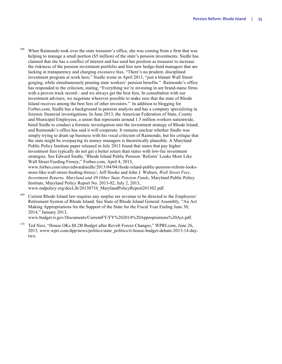<sup>108</sup> When Raimondo took over the state treasurer's office, she was coming from a firm that was helping to manage a small portion (\$5 million) of the state's pension investments. Siedle has claimed that she has a conflict of interest and has used her position as treasurer to increase the riskiness of the pension investment portfolio and hire new hedge-fund managers that are lacking in transparency and charging excessive fees. "There's no prudent, disciplined investment program at work here," Siedle wrote in April 2013, "just a blatant Wall Street gorging, while simultaneously pruning state workers' pension benefits." Raimondo's office has responded to the criticism, stating, "Everything we're investing in are brand-name firms with a proven track record—and we always get the best fees. In consultation with our investment advisers, we negotiate wherever possible to make sure that the state of Rhode Island receives among the best fees of other investors." In addition to blogging for Forbes.com, Siedle has a background in pension analysis and has a company specializing in forensic financial investigations. In June 2013, the American Federation of State, County and Municipal Employees, a union that represents around 1.5 million workers nationwide, hired Siedle to conduct a forensic investigation into the investment strategy of Rhode Island, and Raimondo's office has said it will cooperate. It remains unclear whether Siedle was simply trying to drum up business with his vocal criticism of Raimondo, but his critique that the state might be overpaying its money managers is theoretically plausible. A Maryland Public Policy Institute paper released in July 2013 found that states that pay higher investment fees typically do not get a better return than states with low-fee investment strategies. See Edward Siedle, "Rhode Island Public Pension 'Reform' Looks More Like Wall Street Feeding Frenzy," Forbes.com, April 4, 2013, www.forbes.com/sites/edwardsiedle/2013/04/04/rhode-island-public-pension-reform-looks-

more-like-wall-street-feeding-frenzy/; Jeff Hooke and John J. Walters, *Wall Street Fees, Investment Returns, Maryland and 49 Other State Pension Funds*, Maryland Public Policy Institute, Maryland Policy Report No. 2013-02, July 2, 2013, www.mdpolicy.org/docLib/20130710\_MarylandPolicyReport201302.pdf.

<sup>109</sup> Current Rhode Island law requires any surplus tax revenue to be directed to the Employees' Retirement System of Rhode Island. See State of Rhode Island General Assembly, "An Act Making Appropriations for the Support of the State for the Fiscal Year Ending June 30, 2014," January 2013,

www.budget.ri.gov/Documents/CurrentFY/FY%202014%20Appropriations%20Act.pdf.

<sup>110</sup> Ted Nesi, "House OKs \$8.2B Budget after Revolt Forces Changes," WPRI.com, June 26, 2013, www.wpri.com/dpp/news/politics/state\_politics/ri-house-budget-debate-2013-14-daytwo.